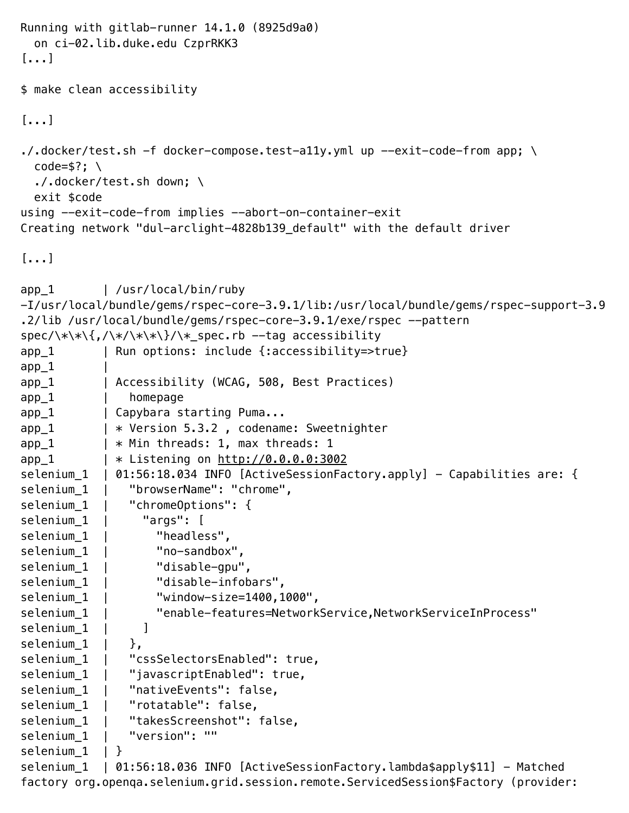```
Running with gitlab-runner 14.1.0 (8925d9a0)
  on ci-02.lib.duke.edu CzprRKK3
[...]
$ make clean accessibility
[...]
\cdot/.docker/test.sh -f docker-compose.test-ally.yml up --exit-code-from app; \
 code=$?; \
  ./.docker/test.sh down; \
  exit $code
using --exit-code-from implies --abort-on-container-exit
Creating network "dul-arclight-4828b139_default" with the default driver
[...]
app_1 | /usr/local/bin/ruby 
-I/usr/local/bundle/gems/rspec-core-3.9.1/lib:/usr/local/bundle/gems/rspec-support-3.9
.2/lib /usr/local/bundle/gems/rspec-core-3.9.1/exe/rspec --pattern 
spec/\*\*\{,/\*/\*\*\}/\*_spec.rb --tag accessibility
app_1 | Run options: include {:accessibility=>true}
app_1app_1 | Accessibility (WCAG, 508, Best Practices)
app_1 | homepage
app 1 | Capybara starting Puma...
app_1 | * Version 5.3.2, codename: Sweetnighter
app_1 | * Min threads: 1, max threads: 1
app_1 | * Listening on http://0.0.0.0:3002
selenium_1 | 01:56:18.034 INFO [ActiveSessionFactory.apply] - Capabilities are: {
selenium_1 | "browserName": "chrome",
selenium 1 | "chromeOptions": {
selenium<sub>1</sub> | "args": [
selenium<sub>1</sub> | "headless",
selenium_1 | "no-sandbox",
selenium_1 | "disable-gpu",
selenium_1 | "disable-infobars",
selenium 1 | "window-size=1400,1000",
selenium_1 | "enable-features=NetworkService,NetworkServiceInProcess"
selenium 1 | ]
selenium 1 \mid \},
selenium_1 | "cssSelectorsEnabled": true,
selenium<sub>1</sub> | "javascriptEnabled": true,
selenium 1 | "nativeEvents": false,
selenium_1 | "rotatable": false,
selenium<sub>1</sub> | "takesScreenshot": false,
selenium 1 | "version": ""
selenium 1 | }
selenium_1 | 01:56:18.036 INFO [ActiveSessionFactory.lambda$apply$11] - Matched
factory org.openqa.selenium.grid.session.remote.ServicedSession$Factory (provider:
```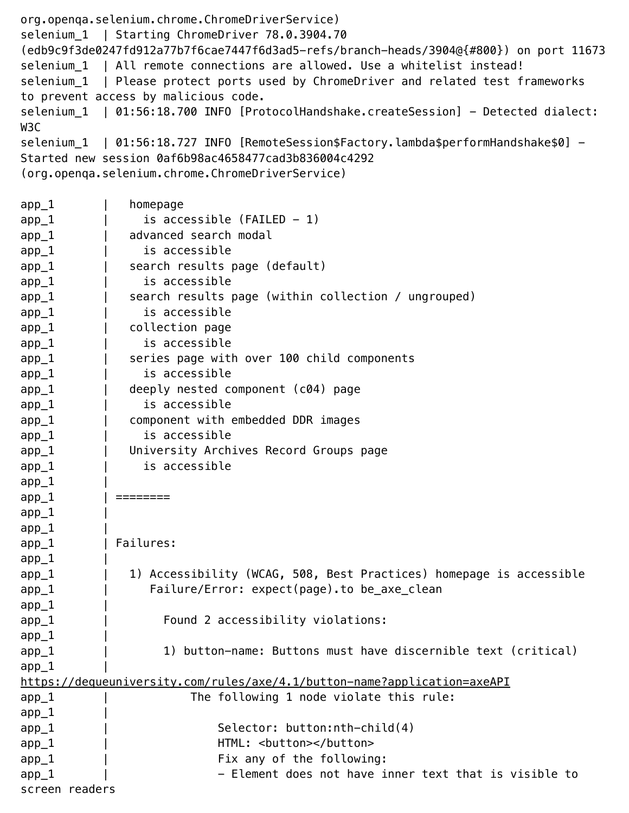org.openqa.selenium.chrome.ChromeDriverService) selenium\_1 | Starting ChromeDriver 78.0.3904.70 (edb9c9f3de0247fd912a77b7f6cae7447f6d3ad5-refs/branch-heads/3904@{#800}) on port 11673 selenium\_1 | All remote connections are allowed. Use a whitelist instead! selenium\_1 | Please protect ports used by ChromeDriver and related test frameworks to prevent access by malicious code. selenium\_1 | 01:56:18.700 INFO [ProtocolHandshake.createSession] - Detected dialect: W3C selenium\_1 | 01:56:18.727 INFO [RemoteSession\$Factory.lambda\$performHandshake\$0] -Started new session 0af6b98ac4658477cad3b836004c4292 (org.openqa.selenium.chrome.ChromeDriverService) app\_1 | homepage  $app_1$  | is accessible (FAILED - 1) app\_1 | advanced search modal app\_1 | is accessible app\_1 | search results page (default) app\_1 | is accessible app\_1 | search results page (within collection / ungrouped) app\_1 | is accessible app\_1 | collection page app\_1 | is accessible app\_1 | series page with over 100 child components app\_1 | is accessible app\_1 | deeply nested component (c04) page app\_1 | is accessible app\_1 | component with embedded DDR images app\_1 | is accessible app\_1 | University Archives Record Groups page app\_1 | is accessible  $app_1$ app\_1 | ========  $app_1$  $app_1$ app\_1 | Failures:  $app_1$ app\_1 | 1) Accessibility (WCAG, 508, Best Practices) homepage is accessible app\_1 | Failure/Error: expect(page).to be\_axe\_clean  $app_1$ app\_1 | Found 2 accessibility violations:  $app_1$ app\_1 1) button-name: Buttons must have discernible text (critical)  $app_1$ https://dequeuniversity.com/rules/axe/4.1/button-name?application=axeAPI app\_1 | The following 1 node violate this rule:  $app_1$ app\_1 | Selector: button:nth-child(4) app\_1 | HTML: <br/> <br/> <br/> <br/> <br/> <br/> <br/> <br/> <br/> <br/> <br/> <br/> <br/> <br/> <br/> <br/> <br/> <br/><br/></button></button<br/>></button<br/></button<br/>></button<br/>></button<br/>></button<br/> <br/ app\_1 | | Fix any of the following:  $app_1$  |  $-$  Element does not have inner text that is visible to screen readers